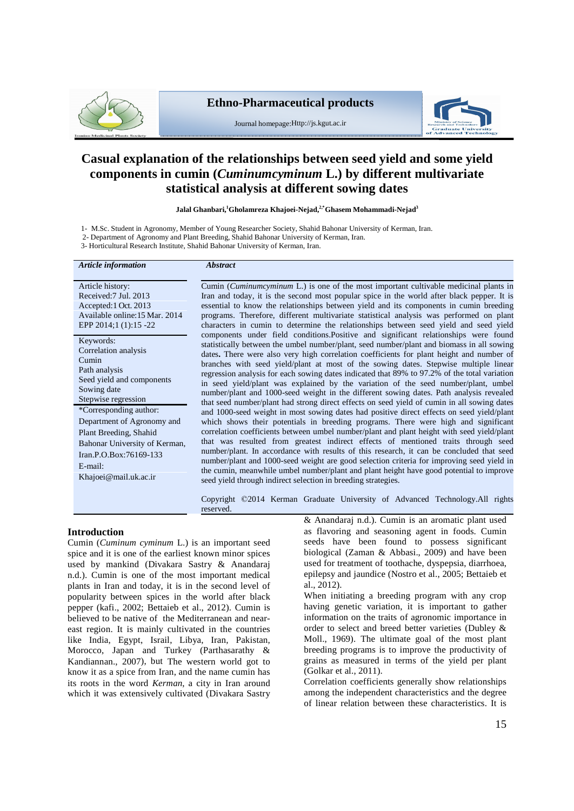

# **Ethno-Pharmaceutical products**



Journal homepage:Http://js.kgut.ac.ir

# **Casual explanation of the relationships between seed yield and some yield components in cumin (***Cuminumcyminum* **L.) by different multivariate statistical analysis at different sowing dates**

**Jalal Ghanbari,<sup>1</sup>Gholamreza Khajoei-Nejad,2,\*Ghasem Mohammadi-Nejad 3**

1- M.Sc. Student in Agronomy, Member of Young Researcher Society, Shahid Bahonar University of Kerman, Iran.

2- Department of Agronomy and Plant Breeding, Shahid Bahonar University of Kerman, Iran.

3- Horticultural Research Institute, Shahid Bahonar University of Kerman, Iran.

*Article information Abstract*

Article history: Received:7 Jul. 2013 Accepted:1 Oct. 2013 Available online:15 Mar. 2014 EPP 2014;1 (1):15 -22

Keywords: Correlation analysis Cumin Path analysis Seed yield and components Sowing date Stepwise regression \*Corresponding author: Department of Agronomy and Plant Breeding, Shahid Bahonar University of Kerman, Iran.P.O.Box:76169-133 E-mail: [Khajoei@mail.uk.ac.ir](mailto:Khajoei@mail.uk.ac.ir)

Cumin (*Cuminumcyminum* L.) is one of the most important cultivable medicinal plants in Iran and today, it is the second most popular spice in the world after black pepper. It is essential to know the relationships between yield and its components in cumin breeding programs. Therefore, different multivariate statistical analysis was performed on plant characters in cumin to determine the relationships between seed yield and seed yield components under field conditions.Positive and significant relationships were found statistically between the umbel number/plant, seed number/plant and biomass in all sowing dates**.** There were also very high correlation coefficients for plant height and number of branches with seed yield/plant at most of the sowing dates. Stepwise multiple linear regression analysis for each sowing dates indicated that 89% to 97.2% of the total variation in seed yield/plant was explained by the variation of the seed number/plant, umbel number/plant and 1000-seed weight in the different sowing dates. Path analysis revealed that seed number/plant had strong direct effects on seed yield of cumin in all sowing dates and 1000-seed weight in most sowing dates had positive direct effects on seed yield/plant which shows their potentials in breeding programs. There were high and significant correlation coefficients between umbel number/plant and plant height with seed yield/plant that was resulted from greatest indirect effects of mentioned traits through seed number/plant. In accordance with results of this research, it can be concluded that seed number/plant and 1000-seed weight are good selection criteria for improving seed yield in the cumin, meanwhile umbel number/plant and plant height have good potential to improve seed yield through indirect selection in breeding strategies.

Copyright ©<sup>2014</sup> Kerman Graduate University of Advanced Technology.All rights reserved.

**Introduction**

Cumin (*Cuminum cyminum* L.) is an important seed spice and it is one of the earliest known minor spices used by mankind (Divakara Sastry & Anandaraj n.d.). Cumin is one of the most important medical plants in Iran and today, it is in the second level of popularity between spices in the world after black pepper (kafi., 2002; Bettaieb et al., 2012). Cumin is believed to be native of the Mediterranean and near east region. It is mainly cultivated in the countries like India, Egypt, Israil, Libya, Iran, Pakistan, Morocco, Japan and Turkey (Parthasarathy & Kandiannan., 2007), but The western world got to know it as a spice from Iran, and the name cumin has its roots in the word *Kerman*, a city in Iran around which it was extensively cultivated (Divakara Sastry

& Anandaraj n.d.). Cumin is an aromatic plant used as flavoring and seasoning agent in foods. Cumin seeds have been found to possess significant biological (Zaman & Abbasi., 2009) and have been used for treatment of toothache, dyspepsia, diarrhoea, epilepsy and jaundice (Nostro et al., 2005; Bettaieb et al., 2012).

When initiating a breeding program with any crop having genetic variation, it is important to gather information on the traits of agronomic importance in order to select and breed better varieties (Dubley & Moll., 1969). The ultimate goal of the most plant breeding programs is to improve the productivity of grains as measured in terms of the yield per plant (Golkar et al., 2011).

Correlation coefficients generally show relationships among the independent characteristics and the degree of linear relation between these characteristics. It is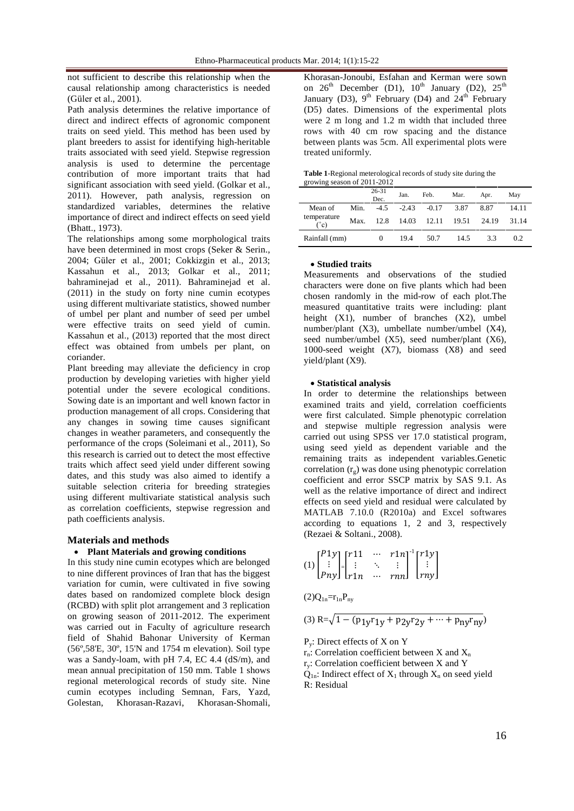not sufficient to describe this relationship when the causal relationship among characteristics is needed not sufficient to describ<br>causal relationship amo<br>(Güler et al., 2001).

Path analysis determines the relative importance of direct and indirect effects of agronomic component traits on seed yield. This method has been used by plant breeders to assist for identifying high-heritable traits associated with seed yield. Stepwise regression analysis is used to determine the percentage contribution of more important traits that had significant association with seed yield. (Golkar et al., 2011). However, path analysis, regression on standardized variables, determines the relative importance of direct and indirect effects on seed yield (Bhatt., 1973).

The relationships among some morphological traits have been determined in most crops (Seker & Serin., 2004; Güler et al., 2001; Cokkizgin et al., 2013; Kassahun et al., 2013; Golkar et al., 2011; bahraminejad et al., 2011). Bahraminejad et al. (2011) in the study on forty nine cumin ecotypes using different multivariate statistics, showed number of umbel per plant and number of seed per umbel were effective traits on seed yield of cumin. Kassahun et al., (2013) reported that the most direct effect was obtained from umbels per plant, on coriander.

Plant breeding may alleviate the deficiency in crop production by developing varieties with higher yield potential under the severe ecological conditions. Sowing date is an important and well known factor in production management of all crops. Considering that any changes in sowing time causes significant changes in weather parameters, and consequently the performance of the crops (Soleimani et al., 2011), So this research is carried out to detect the most effective traits which affect seed yield under different sowing dates, and this study was also aimed to identify a suitable selection criteria for breeding strategies using different multivariate statistical analysis such as correlation coefficients, stepwise regression and path coefficients analysis.

### **Materials and methods**

# **Plant Materials and growing conditions**

In this study nine cumin ecotypes which are belonged to nine different provinces of Iran that has the biggest variation for cumin, were cultivated in five sowing dates based on randomized complete block design (RCBD) with split plot arrangement and 3 replication on growing season of 2011-2012. The experiment was carried out in Faculty of agriculture research<br>field of Shahid Bahonar University of Kerman<br>(56°,58'E, 30°, 15'N and 1754 m elevation). Soil type field of Shahid Bahonar University of Kerman was a Sandy-loam, with pH 7.4, EC 4.4 (dS/m), and mean annual precipitation of 150 mm. Table 1 shows regional meterological records of study site. Nine cumin ecotypes including Semnan, Fars, Yazd, Golestan, Khorasan-Razavi, Khorasan-Shomali,

Khorasan-Jonoubi, Esfahan and Kerman were sown on  $26<sup>th</sup>$  December (D1),  $10<sup>th</sup>$  January (D2),  $25<sup>th</sup>$ January (D3),  $9<sup>th</sup>$  February (D4) and  $24<sup>th</sup>$  February (D5) dates. Dimensions of the experimental plots were 2 m long and 1.2 m width that included three rows with 40 cm row spacing and the distance between plants was 5cm. All experimental plots were treated uniformly.

**Table 1**-Regional meterological records of study site during the growing season of 2011-2012

|                     |      | 26-31<br>Dec. | Jan.    | Feb.    | Mar.  | Apr.  | May   |
|---------------------|------|---------------|---------|---------|-------|-------|-------|
| Mean of             | Min. | $-4.5$        | $-2.43$ | $-0.17$ | 3.87  | 8.87  | 14.11 |
| temperature<br>(°c) | Max. | 12.8          | 14.03   | 12.11   | 19.51 | 24.19 | 31.14 |
| Rainfall (mm)       |      | 0             | 19.4    | 50.7    | 14.5  | 33    | 0.2   |

#### **Studied traits**

Measurements and observations of the studied characters were done on five plants which had been chosen randomly in the mid-row of each plot.The measured quantitative traits were including: plant height  $(X1)$ , number of branches  $(X2)$ , umbel number/plant (X3), umbellate number/umbel (X4), seed number/umbel (X5), seed number/plant (X6), 1000-seed weight  $(X7)$ , biomass  $(X8)$  and seed yield/plant (X9).

#### **Statistical analysis**

In order to determine the relationships between examined traits and yield, correlation coefficients were first calculated. Simple phenotypic correlation and stepwise multiple regression analysis were carried out using SPSS ver17.0 statistical program, using seed yield as dependent variable and the remaining traits as independent variables.Genetic correlation  $(r<sub>s</sub>)$  was done using phenotypic correlation coefficient and error SSCP matrix by SAS 9.1. As well as the relative importance of direct and indirect effects on seed yield and residual were calculated by MATLAB 7.10.0 (R2010a) and Excel softwares according to equations 1, 2 and 3, respectively<br>
(Rezaei & Soltani., 2008).<br>  $[P_1 \gamma] [T_1 \gamma] \cdots [T_n \gamma] [T_n \gamma]$ ݊݊ݎ $\frac{1}{2}$  and

(Rezaei & Soltani., 2008).  
\n
$$
(1) \begin{bmatrix} P1y \\ \vdots \\ Pny \end{bmatrix} \begin{bmatrix} r11 & \cdots & r1n \\ \vdots & \ddots & \vdots \\ r1n & \cdots & rnn \end{bmatrix}^{-1} \begin{bmatrix} r1y \\ \vdots \\ rny \end{bmatrix}
$$

$$
(2)Q_{1n}=r_{1n}P_{ny}
$$

(2)Q<sub>1n</sub>=r<sub>1n</sub>P<sub>ny</sub>  
(3) R=
$$
\sqrt{1-(p_{1y}r_{1y}+p_{2y}r_{2y}+...+p_{ny}r_{ny})}
$$

P<sup>y</sup> : Direct effects of X on Y

 $r_n$ : Correlation coefficient between X and X<sub>n</sub>

r<sup>y</sup> : Correlation coefficient between X and Y

 $\dot{Q}_{1n}$ : Indirect effect of  $X_1$  through  $X_n$  on seed yield R: Residual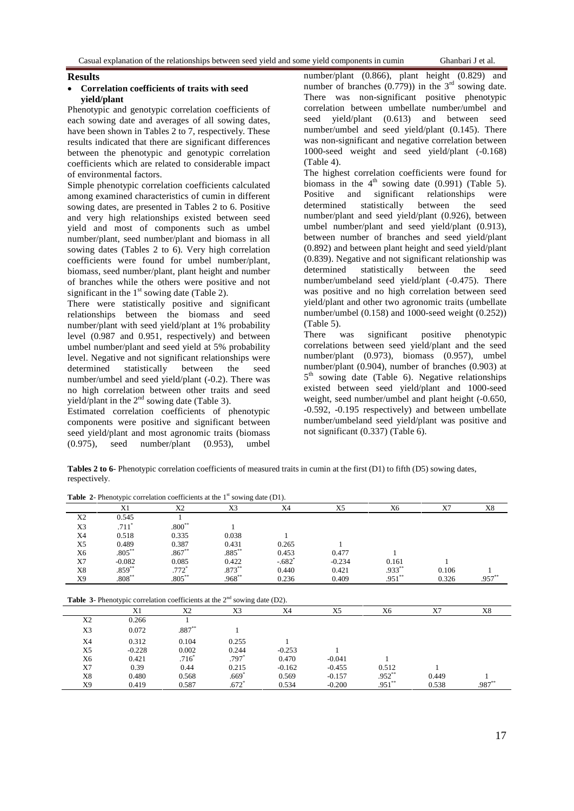#### **Results**

#### **Correlation coefficients of traits with seed yield/plant**

Phenotypic and genotypic correlation coefficients of each sowing date and averages of all sowing dates, have been shown in Tables 2 to 7, respectively. These results indicated that there are significant differences between the phenotypic and genotypic correlation coefficients which are related to considerable impact of environmental factors.

Simple phenotypic correlation coefficients calculated biomass in the among examined characteristics of cumin in different Positive and among examined characteristics of cumin in different sowing dates, are presented in Tables 2 to 6. Positive and very high relationships existed between seed yield and most of components such as umbel number/plant, seed number/plant and biomass in all sowing dates (Tables 2 to 6). Very high correlation coefficients were found for umbel number/plant, biomass, seed number/plant, plant height and number of branches while the others were positive and not significant in the  $1<sup>st</sup>$  sowing date (Table 2).

There were statistically positive and significant relationships between the biomass and seed number/plant with seed yield/plant at 1% probability (Table<br>level  $(0.987 \text{ and } 0.951 \text{ respectively})$  and between There level (0.987 and 0.951, respectively) and between umbel number/plant and seed yield at 5% probability level. Negative and not significant relationships were determined statistically between the seed number/umbel and seed yield/plant (-0.2). There was no high correlation between other traits and seed yield/plant in the  $2<sup>nd</sup>$  sowing date (Table 3).

Estimated correlation coefficients of phenotypic components were positive and significant between seed yield/plant and most agronomic traits (biomass (0.975), seed number/plant (0.953), umbel number/plant (0.866), plant height (0.829) and number of branches  $(0.779)$  in the 3<sup>rd</sup> sowing date. There was non-significant positive phenotypic correlation between umbellate number/umbel and seed yield/plant (0.613) and between seed number/umbel and seed yield/plant (0.145). There was non-significant and negative correlation between 1000-seed weight and seed yield/plant (-0.168) (Table 4).

The highest correlation coefficients were found for biomass in the  $4<sup>th</sup>$  sowing date (0.991) (Table 5). significant relationships were determined statistically between the seed number/plant and seed yield/plant (0.926), between umbel number/plant and seed yield/plant (0.913), between number of branches and seed yield/plant (0.892) and between plant height and seed yield/plant (0.839). Negative and not significant relationship was determined statistically between the seed number/umbeland seed yield/plant (-0.475). There was positive and no high correlation between seed yield/plant and other two agronomic traits (umbellate number/umbel (0.158) and 1000-seed weight (0.252)) (Table 5).

was significant positive phenotypic correlations between seed yield/plant and the seed number/plant (0.973), biomass (0.957), umbel number/plant (0.904), number of branches (0.903) at 5 th sowing date (Table 6). Negative relationships existed between seed yield/plant and 1000-seed weight, seed number/umbel and plant height (-0.650, -0.592, -0.195 respectively) and between umbellate number/umbeland seed yield/plant was positive and not significant (0.337) (Table 6).

**Tables 2 to 6**- Phenotypic correlation coefficients of measured traits in cumin at the first (D1) to fifth (D5) sowing dates, respectively.

|                | X1                                                                                 | X <sub>2</sub> | X3        | X4       | X5       | X6        | X7    | X8       |
|----------------|------------------------------------------------------------------------------------|----------------|-----------|----------|----------|-----------|-------|----------|
| X2             | 0.545                                                                              |                |           |          |          |           |       |          |
| X3             | $.711*$                                                                            | $.800**$       |           |          |          |           |       |          |
| X4             | 0.518                                                                              | 0.335          | 0.038     |          |          |           |       |          |
| X <sub>5</sub> | 0.489                                                                              | 0.387          | 0.431     | 0.265    |          |           |       |          |
| X6             | $.805***$                                                                          | $.867**$       | $.885***$ | 0.453    | 0.477    |           |       |          |
| X7             | $-0.082$                                                                           | 0.085          | 0.422     | $-.682"$ | $-0.234$ | 0.161     |       |          |
| X8             | $.859**$                                                                           | $.772*$        | $.873***$ | 0.440    | 0.421    | .933**    | 0.106 |          |
| X9             | $.808***$                                                                          | $.805***$      | $.968***$ | 0.236    | 0.409    | $.951**$  | 0.326 | $.957**$ |
|                | <b>Table 3-</b> Phenotypic correlation coefficients at the $2nd$ sowing date (D2). |                |           |          |          |           |       |          |
|                | X1                                                                                 | X <sub>2</sub> | X3        | X4       | X5       | X6        | X7    | X8       |
| X <sub>2</sub> | 0.266                                                                              |                |           |          |          |           |       |          |
| X3             | 0.072                                                                              | $.887**$       |           |          |          |           |       |          |
| X4             | 0.312                                                                              | 0.104          | 0.255     |          |          |           |       |          |
| X5             | $-0.228$                                                                           | 0.002          | 0.244     | $-0.253$ |          |           |       |          |
| X6             | 0.421                                                                              | .716"          | $.797*$   | 0.470    | $-0.041$ |           |       |          |
| X7             | 0.39                                                                               | 0.44           | 0.215     | $-0.162$ | $-0.455$ | 0.512     |       |          |
| X8             | 0.480                                                                              | 0.568          | .669"     | 0.569    | $-0.157$ | $.952**$  | 0.449 |          |
| X9             |                                                                                    |                |           |          |          | $.951***$ |       | $.987**$ |

**Table** 2- Phenotypic correlation coefficients at the  $1<sup>st</sup>$  sowing date (D1).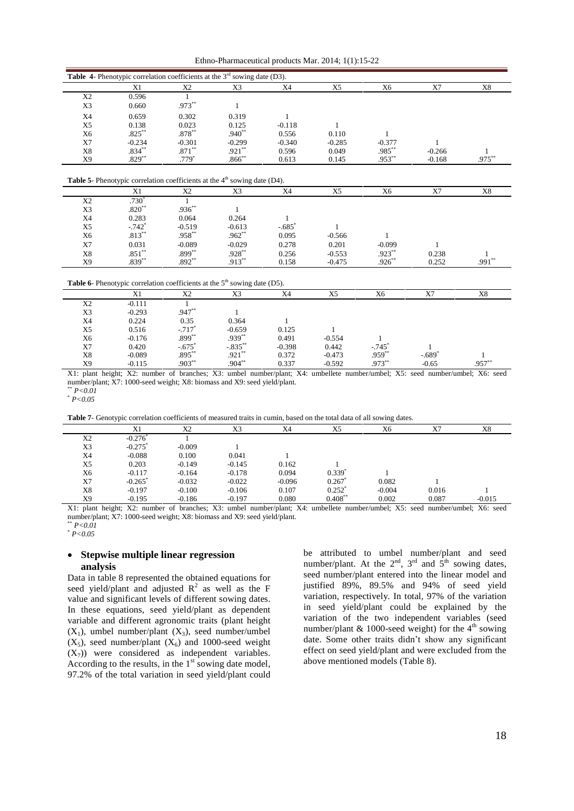Ethno-Pharmaceutical products Mar. 2014; 1(1):15-22

|                |                                                                                    | <b>Table 4-</b> Phenotypic correlation coefficients at the $3^{rd}$ sowing date (D3). |           |                      |                |           |          |           |
|----------------|------------------------------------------------------------------------------------|---------------------------------------------------------------------------------------|-----------|----------------------|----------------|-----------|----------|-----------|
|                | X1                                                                                 | X2                                                                                    | X3        | X4                   | X5             | X6        | X7       | X8        |
| X <sub>2</sub> | 0.596                                                                              |                                                                                       |           |                      |                |           |          |           |
| X3             | 0.660                                                                              | $.973***$                                                                             |           |                      |                |           |          |           |
| X4             | 0.659                                                                              | 0.302                                                                                 | 0.319     |                      |                |           |          |           |
| X <sub>5</sub> | 0.138                                                                              | 0.023                                                                                 | 0.125     | $-0.118$             |                |           |          |           |
| X6             | $.825***$                                                                          | $.878***$                                                                             | $.940**$  | 0.556                | 0.110          |           |          |           |
| X7             | $-0.234$                                                                           | $-0.301$                                                                              | $-0.299$  | $-0.340$             | $-0.285$       | $-0.377$  |          |           |
| X8             | $.834***$                                                                          | $.871***$                                                                             | $.921**$  | 0.596                | 0.049          | $.985***$ | $-0.266$ |           |
| X9             | $.829***$                                                                          | $.779*$                                                                               | $.866**$  | 0.613                | 0.145          | $.953***$ | $-0.168$ | $.975***$ |
|                | <b>Table 5-</b> Phenotypic correlation coefficients at the $4th$ sowing date (D4). |                                                                                       |           |                      |                |           |          |           |
|                | X1                                                                                 | X2                                                                                    | X3        | X4                   | X <sub>5</sub> | X6        | X7       | X8        |
| X <sub>2</sub> | $.730*$                                                                            |                                                                                       |           |                      |                |           |          |           |
| X3             | $.820**$                                                                           | $.936***$                                                                             |           |                      |                |           |          |           |
| X4             | 0.283                                                                              | 0.064                                                                                 | 0.264     |                      |                |           |          |           |
| X5             | $-.742"$                                                                           | $-0.519$                                                                              | $-0.613$  | $-.685$ <sup>*</sup> |                |           |          |           |
| X <sub>6</sub> | $.813***$                                                                          | $.958***$                                                                             | $.962**$  | 0.095                | $-0.566$       |           |          |           |
| X7             | 0.031                                                                              | $-0.089$                                                                              | $-0.029$  | 0.278                | 0.201          | $-0.099$  |          |           |
| X8             | $.851**$                                                                           | $.899***$                                                                             | $.928***$ | 0.256                | $-0.553$       | $.923***$ | 0.238    |           |

**Table 6**- Phenotypic correlation coefficients at the 5<sup>th</sup> sowing date (D5).

 $.892***$ 

 $X9$  .839<sup>\*\*</sup>

|                | - 70     |             |            | $-$      |          |                      |         |      |
|----------------|----------|-------------|------------|----------|----------|----------------------|---------|------|
|                |          | X2          | X3         | X4       | X5       | X6                   | X7      | X8   |
| X <sub>2</sub> | $-0.111$ |             |            |          |          |                      |         |      |
| X <sub>3</sub> | $-0.293$ | $.947**$    |            |          |          |                      |         |      |
| X4             | 0.224    | 0.35        | 0.364      |          |          |                      |         |      |
| X5             | 0.516    | $-717$      | $-0.659$   | 0.125    |          |                      |         |      |
| X6             | $-0.176$ | $.899^{**}$ | $.939**$   | 0.491    | $-0.554$ |                      |         |      |
| X7             | 0.420    | $-.675*$    | $-.835***$ | $-0.398$ | 0.442    | $-.745$ <sup>"</sup> |         |      |
| X8             | $-0.089$ | $.895***$   | $.921***$  | 0.372    | $-0.473$ | $.959^{**}$          | $-.689$ |      |
| X9             | $-0.115$ | $.903***$   | $.904***$  | 0.337    | $-0.592$ | $.973^{*}$           | $-0.65$ | .957 |
|                |          |             |            |          |          |                      |         |      |

X1: plant height; X2: number of branches; X3: umbel number/plant; X4: umbellete number/umbel; X5: seed number/umbel; X6: seed number/plant; X7: 1000-seed weight; X8: biomass and X9: seed yield/plant. **Table** 7- Genotypic correlation coefficients of measured traits in cumin, based on the total data of all sowing dates.<br> **Table 7**- Genotypic correlation coefficients of measured traits in cumin, based on the total data of

 $*$  *P*<0.01 \* *P<0.05*

 $.913$ 

|    | ochorphe conclusion coemiciento or metodica auto in cumin, oubel on the total unit of this duties. |          |          |          |                      |          |       |          |
|----|----------------------------------------------------------------------------------------------------|----------|----------|----------|----------------------|----------|-------|----------|
|    |                                                                                                    | X2       | X3       | X4       | X5                   | X6       | X7    | X8       |
| X2 | $-0.276$                                                                                           |          |          |          |                      |          |       |          |
| X3 | $-0.275$ <sup>"</sup>                                                                              | $-0.009$ |          |          |                      |          |       |          |
| X4 | $-0.088$                                                                                           | 0.100    | 0.041    |          |                      |          |       |          |
| X5 | 0.203                                                                                              | $-0.149$ | $-0.145$ | 0.162    |                      |          |       |          |
| Х6 | $-0.117$                                                                                           | $-0.164$ | $-0.178$ | 0.094    | $0.339$ <sup>*</sup> |          |       |          |
| X7 | $-0.265$                                                                                           | $-0.032$ | $-0.022$ | $-0.096$ | 0.267                | 0.082    |       |          |
| X8 | $-0.197$                                                                                           | $-0.100$ | $-0.106$ | 0.107    | $0.252$ <sup>*</sup> | $-0.004$ | 0.016 |          |
| X9 | $-0.195$                                                                                           | $-0.186$ | $-0.197$ | 0.080    | $0.408^{*}$          | 0.002    | 0.087 | $-0.015$ |

X1: plant height; X2: number of branches; X3: umbel number/plant; X4: umbellete number/umbel; X5: seed number/umbel; X6: seed number/plant; X7: 1000-seed weight; X8: biomass and X9: seed yield/plant.

 $P < 0.01$ \* *P<0.05*

# **Stepwise multiple linear regression analysis**

Data in table 8 represented the obtained equations for seed yield/plant and adjusted  $R^2$  as well as the F  $\qquad$  <sup>ju</sup> value and significant levels of different sowing dates. In these equations, seed yield/plant as dependent variable and different agronomic traits (plant height  $(X_1)$ , umbel number/plant  $(X_3)$ , seed number/umbel  $(X_5)$ , seed number/plant  $(X_6)$  and 1000-seed weight  $(X_7)$ ) were considered as independent variables. According to the results, in the  $1<sup>st</sup>$  sowing date model, 97.2% of the total variation in seed yield/plant could

be attributed to umbel number/plant and seed number/plant. At the  $2^{nd}$ ,  $3^{rd}$  and  $5^{th}$  sowing dates, seed number/plant entered into the linear model and justified 89%, 89.5% and 94% of seed yield variation, respectively. In total, 97% of the variation in seed yield/plant could be explained by the variation of the two independent variables (seed number/plant & 1000-seed weight) for the  $4<sup>th</sup>$  sowing variation of the two independent variables (seed number/plant  $& 1000$ -seed weight) for the  $4<sup>th</sup>$  sowing date. Some other traits didn't show any significant effect on seed yield/plant and were excluded from the above mentioned models (Table 8).

\*\*  $0.252$   $.991$ \*\*

 $.926$ \*\*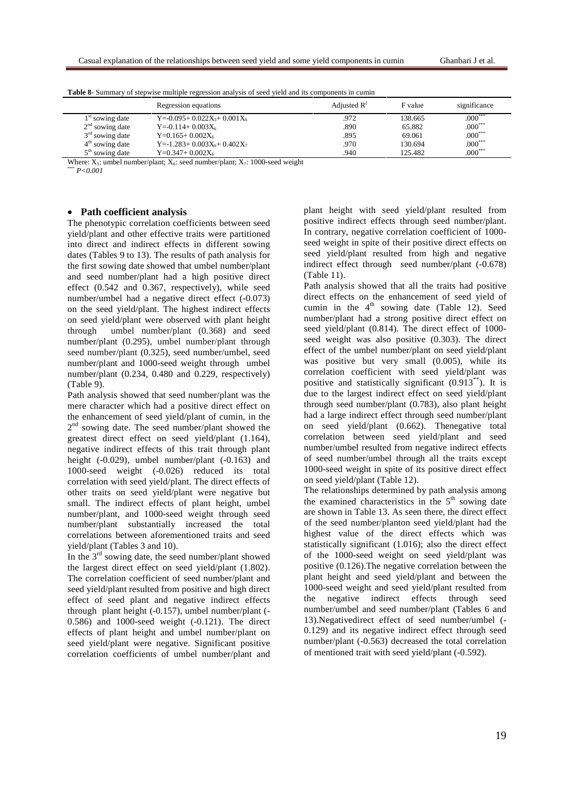|                   | Regression equations                                | Adjusted $\mathbb{R}^2$ | F value | significance |
|-------------------|-----------------------------------------------------|-------------------------|---------|--------------|
| $1st$ sowing date | Y=-0.095+ 0.022X <sub>3</sub> + 0.001X <sub>6</sub> | 972                     | 138.665 | $.000***$    |
| $2nd$ sowing date | $Y = -0.114 + 0.003X_6$                             | .890                    | 65.882  | $.000***$    |
| $3rd$ sowing date | $Y=0.165+0.002X_6$                                  | .895                    | 69.061  | $.000***$    |
| $4th$ sowing date | Y=-1.283+ $0.003X_6$ + $0.402X_7$                   | 970                     | 130.694 | $.000***$    |
| $5th$ sowing date | $Y=0.347+0.002X_6$                                  | .940                    | 125.482 | $.000***$    |
| ----              | .<br>__ _ _ _ _                                     |                         |         |              |

|  |  |  | <b>Table 8-</b> Summary of stepwise multiple regression analysis of seed yield and its components in cumin |  |
|--|--|--|------------------------------------------------------------------------------------------------------------|--|
|--|--|--|------------------------------------------------------------------------------------------------------------|--|

Where:  $\overline{X_3}$ : umbel number/plant;  $X_6$ : seed number/plant;  $X_7$ : 1000-seed weight  $\frac{P}{6}$  *P<0.001* 

# **Path coefficient analysis**

The phenotypic correlation coefficients between seed yield/plant and other effective traits were partitioned into direct and indirect effects in different sowing dates (Tables 9 to 13). The results of path analysis for the first sowing date showed that umbel number/plant and seed number/plant had a high positive direct effect (0.542 and 0.367, respectively), while seed number/umbel had a negative direct effect (-0.073) on the seed yield/plant. The highest indirect effects on seed yield/plant were observed with plant height through umbel number/plant (0.368) and seed number/plant (0.295), umbel number/plant through seed number/plant (0.325), seed number/umbel, seed number/plant and 1000-seed weight through umbel number/plant (0.234, 0.480 and 0.229, respectively) (Table 9).

Path analysis showed that seed number/plant was the mere character which had a positive direct effect on the enhancement of seed yield/plant of cumin, in the 2<sup>nd</sup> sowing date. The seed number/plant showed the greatest direct effect on seed yield/plant (1.164), negative indirect effects of this trait through plant height (-0.029), umbel number/plant (-0.163) and 1000-seed weight (-0.026) reduced its total correlation with seed yield/plant. The direct effects of other traits on seed yield/plant were negative but small. The indirect effects of plant height, umbel number/plant, and 1000-seed weight through seed number/plant substantially increased the total correlations between aforementioned traits and seed

yield/plant (Tables 3 and 10).<br>In the 3<sup>rd</sup> sowing date, the seed number/plant showed the largest direct effect on seed yield/plant (1.802). The correlation coefficient of seed number/plant and seed yield/plant resulted from positive and high direct effect of seed plant and negative indirect effects through plant height (-0.157), umbel number/plant (- 0.586) and 1000-seed weight (-0.121). The direct effects of plant height and umbel number/plant on seed yield/plant were negative. Significant positive correlation coefficients of umbel number/plant and

plant height with seed yield/plant resulted from positive indirect effects through seed number/plant. In contrary, negative correlation coefficient of 1000 seed weight in spite of their positive direct effects on seed yield/plant resulted from high and negative indirect effect through seed number/plant (-0.678) (Table 11).

Path analysis showed that all the traits had positive direct effects on the enhancement of seed yield of cumin in the  $4<sup>th</sup>$  sowing date (Table 12). Seed number/plant had a strong positive direct effect on seed yield/plant (0.814). The direct effect of 1000 seed weight was also positive (0.303). The direct effect of the umbel number/plant on seed yield/plant was positive but very small (0.005), while its correlation coefficient with seed yield/plant was positive and statistically significant  $(0.913^{**})$ . It is due to the largest indirect effect on seed yield/plant through seed number/plant (0.783), also plant height had a large indirect effect through seed number/plant on seed yield/plant (0.662). Thenegative total correlation between seed yield/plant and seed number/umbel resulted from negative indirect effects of seed number/umbel through all the traits except 1000-seed weight in spite of its positive direct effect on seed yield/plant (Table 12).

The relationships determined by path analysis among the examined characteristics in the  $5<sup>th</sup>$  sowing date are shown in Table 13. As seen there, the direct effect of the seed number/planton seed yield/plant had the highest value of the direct effects which was statistically significant (1.016); also the direct effect of the 1000-seed weight on seed yield/plant was positive (0.126).The negative correlation between the plant height and seed yield/plant and between the 1000-seed weight and seed yield/plant resulted from the negative indirect effects through seed number/umbel and seed number/plant (Tables 6 and 13).Negativedirect effect of seed number/umbel (- 0.129) and its negative indirect effect through seed number/plant (-0.563) decreased the total correlation of mentioned trait with seed yield/plant (-0.592).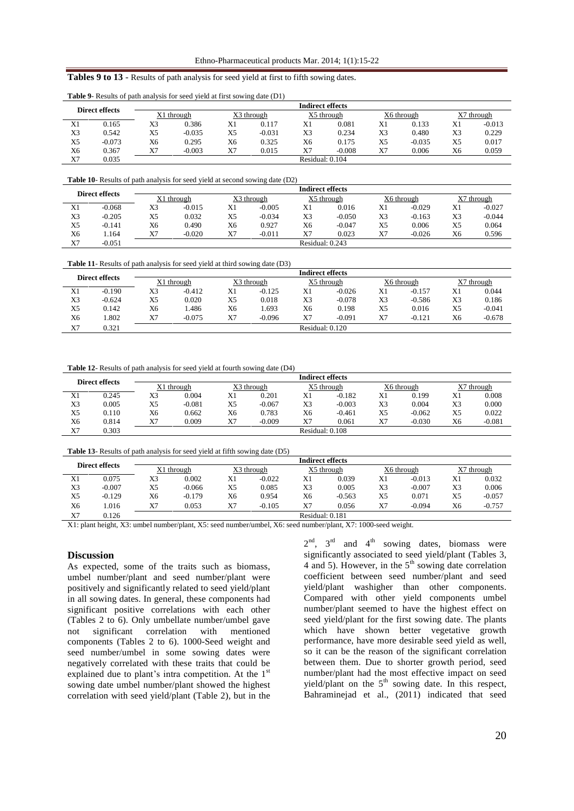#### **Tables 9 to 13** - Results of path analysis for seed yield at first to fifth sowing dates.

| Direct effects |          |            |          |            |          | <b>Indirect effects</b> |          |            |          |            |          |
|----------------|----------|------------|----------|------------|----------|-------------------------|----------|------------|----------|------------|----------|
|                |          | X1 through |          | X3 through |          | X5 through              |          | X6 through |          | X7 through |          |
| X1             | 0.165    | X3         | 0.386    | X1         | 0.117    | X1                      | 0.081    | X1         | 0.133    | X1         | $-0.013$ |
| X <sub>3</sub> | 0.542    | X5         | $-0.035$ | X5         | $-0.031$ | X3                      | 0.234    | X3         | 0.480    | X3         | 0.229    |
| X <sub>5</sub> | $-0.073$ | X6         | 0.295    | X6         | 0.325    | X6                      | 0.175    | X5         | $-0.035$ | X5         | 0.017    |
| X <sub>6</sub> | 0.367    | X7         | $-0.003$ | X7         | 0.015    | X7                      | $-0.008$ | X7         | 0.006    | X6         | 0.059    |
| X7             | 0.035    |            |          |            |          | Residual: 0.104         |          |            |          |            |          |

**Table 9**- Results of path analysis for seed yield at first sowing date (D1)

**Table 10**- Results of path analysis for seed yield at second sowing date (D2)

|                |          | <b>Indirect effects</b> |          |                |          |                 |          |            |          |            |          |  |  |
|----------------|----------|-------------------------|----------|----------------|----------|-----------------|----------|------------|----------|------------|----------|--|--|
| Direct effects |          | X1 through              |          | X3 through     |          | X5 through      |          | X6 through |          | X7 through |          |  |  |
| X1             | $-0.068$ | X3                      | $-0.015$ | X1             | $-0.005$ | X1              | 0.016    | X1         | $-0.029$ | X1         | $-0.027$ |  |  |
| X3             | $-0.205$ | X5                      | 0.032    | X5             | $-0.034$ | X <sub>3</sub>  | $-0.050$ | X3         | $-0.163$ | X3         | $-0.044$ |  |  |
| X5             | $-0.141$ | X6                      | 0.490    | X <sub>6</sub> | 0.927    | X6              | $-0.047$ | X5         | 0.006    | X5         | 0.064    |  |  |
| X6             | .164     | X7                      | $-0.020$ | X7             | $-0.011$ | X7              | 0.023    | X7         | $-0.026$ | X6         | 0.596    |  |  |
| X7             | $-0.051$ |                         |          |                |          | Residual: 0.243 |          |            |          |            |          |  |  |

**Table 11**- Results of path analysis for seed yield at third sowing date (D3)

| Direct effects |          |            |          |            |          | <b>Indirect effects</b> |          |            |          |    |            |
|----------------|----------|------------|----------|------------|----------|-------------------------|----------|------------|----------|----|------------|
|                |          | X1 through |          | X3 through |          | X5 through              |          | X6 through |          |    | X7 through |
| X1             | -0.190   | X3         | $-0.412$ | X1         | $-0.125$ | X1                      | $-0.026$ | X1         | $-0.157$ | X1 | 0.044      |
| X3             | $-0.624$ | X5         | 0.020    | X5         | 0.018    | X3                      | $-0.078$ | X3         | $-0.586$ | X3 | 0.186      |
| X5             | 0.142    | X6         | .486     | X6         | .693     | X6                      | 0.198    | X5         | 0.016    | X5 | $-0.041$   |
| X6             | .802     | X7         | $-0.075$ | X7         | $-0.096$ | X7                      | $-0.091$ | X7         | $-0.121$ | X6 | $-0.678$   |
| X7             | 0.321    |            |          |            |          | Residual: 0.120         |          |            |          |    |            |

**Table 12**- Results of path analysis for seed yield at fourth sowing date (D4)

|    | Direct effects |            |          |            |          | <b>Indirect effects</b> |          |            |          |    |            |
|----|----------------|------------|----------|------------|----------|-------------------------|----------|------------|----------|----|------------|
|    |                | X1 through |          | X3 through |          | X5 through              |          | X6 through |          |    | X7 through |
| X1 | 0.245          | X3         | 0.004    | X1         | 0.201    | X1                      | $-0.182$ | X1         | 0.199    | Λl | 0.008      |
| X3 | 0.005          | X5         | $-0.081$ | X5         | $-0.067$ | X3                      | $-0.003$ | X3         | 0.004    | X3 | 0.000      |
| X5 | 0.110          | X6         | 0.662    | Х6         | 0.783    | X6                      | $-0.461$ | X5         | $-0.062$ | X5 | 0.022      |
| X6 | 0.814          | Χ7         | 0.009    | Χ7         | $-0.009$ | X7                      | 0.061    | X7         | $-0.030$ | X6 | $-0.081$   |
| X7 | 0.303          |            |          |            |          | Residual: 0.108         |          |            |          |    |            |

**Table 13**- Results of path analysis for seed yield at fifth sowing date (D5)

| Direct effects |          | <b>Indirect effects</b> |          |            |          |                 |          |            |          |            |          |  |
|----------------|----------|-------------------------|----------|------------|----------|-----------------|----------|------------|----------|------------|----------|--|
|                |          | X1 through              |          | X3 through |          | X5 through      |          | X6 through |          | X7 through |          |  |
| X1             | 0.075    | X3                      | 0.002    | X1         | $-0.022$ | X1              | 0.039    | X1         | $-0.013$ | X1         | 0.032    |  |
| X3             | $-0.007$ | X5                      | $-0.066$ | X5         | 0.085    | X3              | 0.005    | X3         | $-0.007$ | X3         | 0.006    |  |
| X5             | $-0.129$ | X6                      | $-0.179$ | X6         | 0.954    | X6              | $-0.563$ | X5         | 0.071    | X5         | $-0.057$ |  |
| X6             | .016     | X7                      | 0.053    | X7         | $-0.105$ | X7              | 0.056    | X7         | $-0.094$ | X6         | $-0.757$ |  |
| X7             | 0.126    |                         |          |            |          | Residual: 0.181 |          |            |          |            |          |  |

X1: plant height, X3: umbel number/plant, X5: seed number/umbel, X6: seed number/plant, X7: 1000-seed weight.

# **Discussion**

As expected, some of the traits such as biomass, umbel number/plant and seed number/plant were positively and significantly related to seed yield/plant in all sowing dates. In general, these components had significant positive correlations with each other (Tables 2 to 6). Only umbellate number/umbel gave not significant correlation with mentioned components (Tables 2 to 6). 1000-Seed weight and seed number/umbel in some sowing dates were negatively correlated with these traits that could be seed number/umbel in some sowing dates were<br>negatively correlated with these traits that could be<br>explained due to plant's intra competition. At the 1<sup>st</sup> explained due to plant's intra competition. At the 1<sup>st</sup> sowing date umbel number/plant showed the highest correlation with seed yield/plant (Table 2), but in the

 $2<sup>nd</sup>$ ,  $3<sup>rd</sup>$  and  $4<sup>th</sup>$  sowing dates, biomass were significantly associated to seed yield/plant (Tables 3, 4 and 5). However, in the  $5<sup>th</sup>$  sowing date correlation coefficient between seed number/plant and seed yield/plant washigher than other components. Compared with other yield components umbel number/plant seemed to have the highest effect on seed yield/plant for the first sowing date. The plants which have shown better vegetative growth performance, have more desirable seed yield as well, so it can be the reason of the significant correlation between them. Due to shorter growth period, seed number/plant had the most effective impact on seed yield/plant on the  $5<sup>th</sup>$  sowing date. In this respect, Bahraminejad et al., (2011) indicated that seed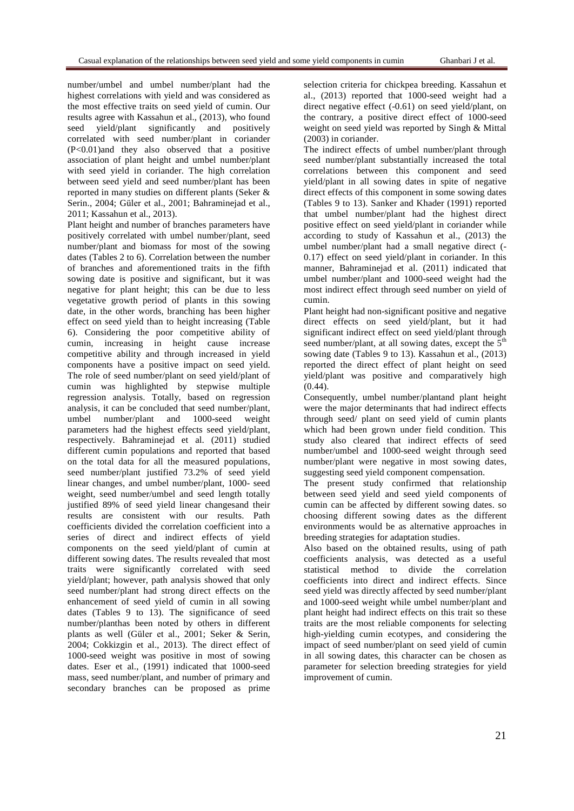number/umbel and umbel number/plant had the highest correlations with yield and was considered as the most effective traits on seed yield of cumin. Our results agree with Kassahun et al., (2013), who found seed yield/plant significantly and positively correlated with seed number/plant in coriander (P<0.01)and they also observed that a positive association of plant height and umbel number/plant with seed yield in coriander. The high correlation between seed yield and seed number/plant has been reported in many studies on different plants (Seker & Serin., 2004; Güler et al., 2001; Bahraminejad et al., 2011; Kassahun et al., 2013).

Plant height and number of branches parameters have positively correlated with umbel number/plant, seed number/plant and biomass for most of the sowing dates (Tables 2 to 6). Correlation between the number of branches and aforementioned traits in the fifth sowing date is positive and significant, but it was negative for plant height; this can be due to less vegetative growth period of plants in this sowing date, in the other words, branching has been higher effect on seed yield than to height increasing (Table 6). Considering the poor competitive ability of cumin, increasing in height cause increase competitive ability and through increased in yield components have a positive impact on seed yield. The role of seed number/plant on seed yield/plant of cumin was highlighted by stepwise multiple regression analysis. Totally, based on regression analysis, it can be concluded that seed number/plant, umbel number/plant and 1000-seed weight parameters had the highest effects seed yield/plant, respectively. Bahraminejad et al. (2011) studied different cumin populations and reported that based on the total data for all the measured populations, seed number/plant justified 73.2% of seed yield linear changes, and umbel number/plant, 1000- seed weight, seed number/umbel and seed length totally justified 89% of seed yield linear changesand their results are consistent with our results. Path coefficients divided the correlation coefficient into a series of direct and indirect effects of yield components on the seed yield/plant of cumin at different sowing dates. The results revealed that most traits were significantly correlated with seed yield/plant; however, path analysis showed that only seed number/plant had strong direct effects on the enhancement of seed yield of cumin in all sowing dates (Tables 9 to 13). The significance of seed number/planthas been noted by others in different plants as well (Güler et al., 2001; Seker & Serin, 2004; Cokkizgin et al., 2013). The direct effect of 1000-seed weight was positive in most of sowing dates. Eser et al., (1991) indicated that 1000-seed mass, seed number/plant, and number of primary and secondary branches can be proposed as prime

selection criteria for chickpea breeding. Kassahun et al., (2013) reported that 1000-seed weight had a direct negative effect (-0.61) on seed yield/plant, on the contrary, a positive direct effect of 1000-seed weight on seed yield was reported by Singh & Mittal (2003) in coriander.

The indirect effects of umbel number/plant through seed number/plant substantially increased the total correlations between this component and seed yield/plant in all sowing dates in spite of negative direct effects of this component in some sowing dates (Tables 9 to 13). Sanker and Khader (1991) reported that umbel number/plant had the highest direct positive effect on seed yield/plant in coriander while according to study of Kassahun et al., (2013) the umbel number/plant had a small negative direct (- 0.17) effect on seed yield/plant in coriander. In this manner. Bahraminejad et al. (2011) indicated that umbel number/plant and 1000-seed weight had the most indirect effect through seed number on yield of

Plant height had non-significant positive and negative direct effects on seed yield/plant, but it had significant indirect effect on seed yield/plant through seed number/plant, at all sowing dates, except the  $5<sup>th</sup>$ sowing date (Tables 9 to 13). Kassahun et al., (2013) reported the direct effect of plant height on seed yield/plant was positive and comparatively high  $(0.44)$ .

Consequently, umbel number/plantand plant height were the major determinants that had indirect effects through seed/ plant on seed yield of cumin plants which had been grown under field condition. This study also cleared that indirect effects of seed number/umbel and 1000-seed weight through seed number/plant were negative in most sowing dates, suggesting seed yield component compensation.

The present study confirmed that relationship between seed yield and seed yield components of cumin can be affected by different sowing dates. so choosing different sowing dates as the different environments would be as alternative approaches in breeding strategies for adaptation studies.

Also based on the obtained results, using of path coefficients analysis, was detected as a useful statistical method to divide the correlation coefficients into direct and indirect effects. Since seed yield was directly affected by seed number/plant and 1000-seed weight while umbel number/plant and plant height had indirect effects on this trait so these traits are the most reliable components for selecting high-yielding cumin ecotypes, and considering the impact of seed number/plant on seed yield of cumin in all sowing dates, this character can be chosen as parameter for selection breeding strategies for yield improvement of cumin.